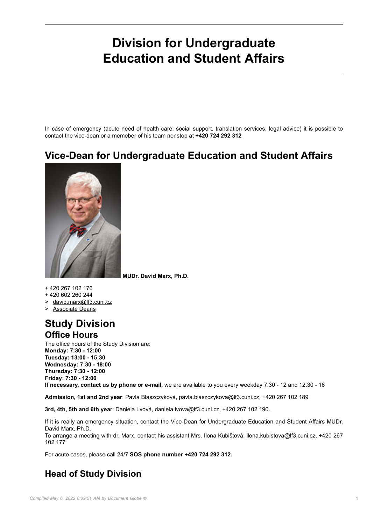# **Division for Undergraduate Education and Student Affairs**

In case of emergency (acute need of health care, social support, translation services, legal advice) it is possible to contact the vice-dean or a memeber of his team nonstop at **+420 724 292 312**

## **Vice-Dean for Undergraduate Education and Student Affairs**



**MUDr. David Marx, Ph.D.**

+ 420 267 102 176

- + 420 602 260 244
- > [david.marx@lf3.cuni.cz](mailto:david.marx@lf3.cuni.cz)

> [Associate Deans](3LFEN-411.html)

#### **Study Division Office Hours**

The office hours of the Study Division are: **Monday: 7:30 - 12:00 Tuesday: 13:00 - 15:30 Wednesday: 7:30 - 18:00 Thursday: 7:30 - 12:00 Friday: 7:30 - 12:00**

**If necessary, contact us by phone or e-mail,** we are available to you every weekday 7.30 - 12 and 12.30 - 16

**Admission, 1st and 2nd year**: Pavla Blaszczyková, pavla.blaszczykova@lf3.cuni.cz, +420 267 102 189

**3rd, 4th, 5th and 6th year**: Daniela Lvová, daniela.lvova@lf3.cuni.cz, +420 267 102 190.

If it is really an emergency situation, contact the Vice-Dean for Undergraduate Education and Student Affairs MUDr. David Marx, Ph.D.

To arrange a meeting with dr. Marx, contact his assistant Mrs. Ilona Kubištová: ilona.kubistova@lf3.cuni.cz, +420 267 102 177

For acute cases, please call 24/7 **SOS phone number +420 724 292 312.**

#### **Head of Study Division**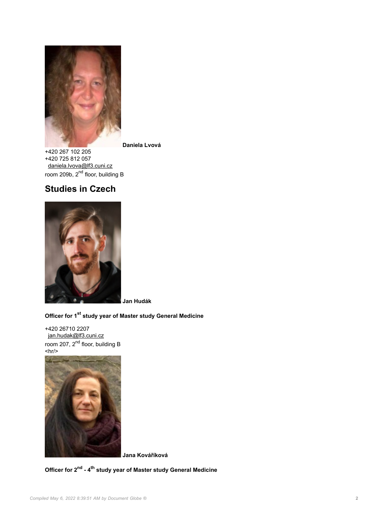

**Daniela Lvová** +420 267 102 205 +420 725 812 057

[daniela.lvova@lf3.cuni.cz](mailto:daniela.lvova@lf3.cuni.cz) room 209b, 2<sup>nd</sup> floor, building B

### **Studies in Czech**



**Jan Hudák**

#### **Officer for 1st study year of Master study General Medicine**

+420 26710 2207 [jan.hudak@lf3.cuni.cz](mailto:jan.hudak@lf3.cuni.cz) room 207, 2<sup>nd</sup> floor, building B  $\langle h r / \rangle$ 



**Jana Kováříková**

**Officer for 2nd - 4th study year of Master study General Medicine**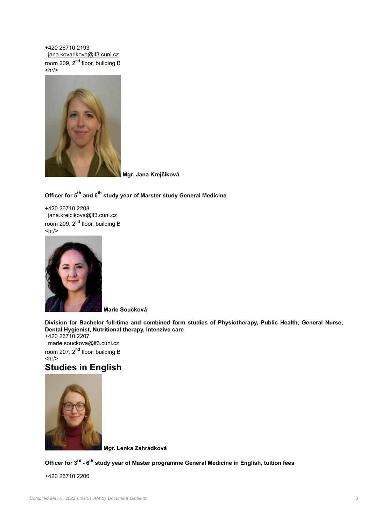+420 26710 2193 [jana.kovarikova@lf3.cuni.cz](mailto:jana.kovarikova@lf3.cuni.cz) room 209, 2<sup>nd</sup> floor, building B  $\langle h r / \rangle$ 



**Mgr. Jana Krejčíková**

#### **Officer for 5th and 6th study year of Marster study General Medicine**

+420 26710 2208 [jana.krejcikova@lf3.cuni.cz](mailto:jana.krejcikova@lf3.cuni.cz) room 209, 2<sup>nd</sup> floor, building B  $\langle h r / \rangle$ 



**Marie Součková**

**Division for Bachelor full-time and combined form studies of Physiotherapy, Public Health, General Nurse, Dental Hygienist, Nutritional therapy, Intenzive care**

+420 26710 2207 [marie.souckova@lf3.cuni.cz](mailto:marie.souckova@lf3.cuni.cz) room 207, 2<sup>nd</sup> floor, building B  $\langle h r / \rangle$ 

#### **Studies in English**



**Mgr. Lenka Zahrádková**

**Officer for 3rd - 6th study year of Master programme General Medicine in English, tuition fees**

+420 26710 2206